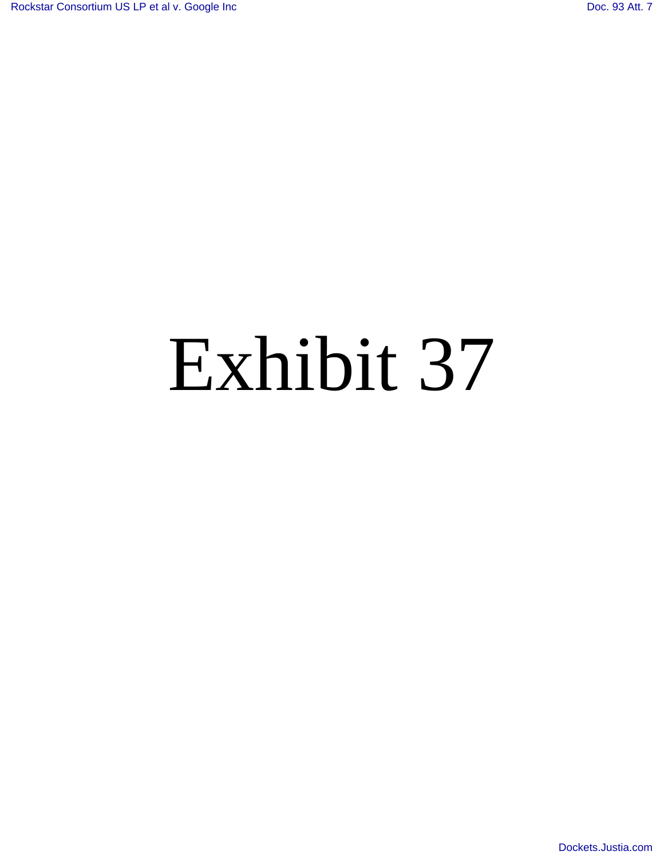## Exhibit 37